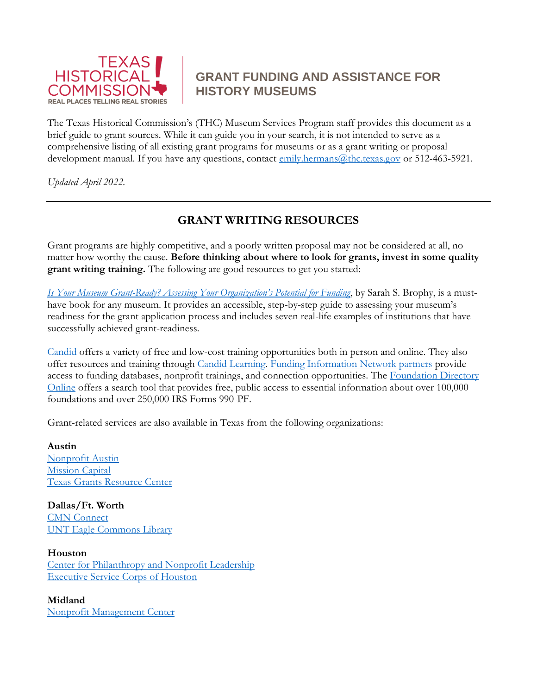

# **GRANT FUNDING AND ASSISTANCE FOR HISTORY MUSEUMS**

The Texas Historical Commission's (THC) Museum Services Program staff provides this document as a brief guide to grant sources. While it can guide you in your search, it is not intended to serve as a comprehensive listing of all existing grant programs for museums or as a grant writing or proposal development manual. If you have any questions, contact [emily.hermans@thc.texas.gov](mailto:emily.hermans@thc.texas.gov) or 512-463-5921.

*Updated April 2022.*

# **GRANT WRITING RESOURCES**

Grant programs are highly competitive, and a poorly written proposal may not be considered at all, no matter how worthy the cause. **Before thinking about where to look for grants, invest in some quality grant writing training.** The following are good resources to get you started:

*Is Your Museum Grant-[Ready? Assessing Your Organization's Potential for Funding](https://rowman.com/ISBN/9781442273092/Is-Your-Museum-Grant-Ready-Second-Edition)*, by Sarah S. Brophy, is a musthave book for any museum. It provides an accessible, step-by-step guide to assessing your museum's readiness for the grant application process and includes seven real-life examples of institutions that have successfully achieved grant-readiness.

[Candid](https://candid.org/) offers a variety of free and low-cost training opportunities both in person and online. They also offer resources and training through [Candid Learning.](https://learning.candid.org/training/) [Funding Information Network partners](http://foundationcenter.org/find-us#lookup_form) provide access to funding databases, nonprofit trainings, and connection opportunities. The [Foundation Directory](http://foundationcenter.org/find-funding/fdo-quick-start)  [Online](http://foundationcenter.org/find-funding/fdo-quick-start) offers a search tool that provides free, public access to essential information about over 100,000 foundations and over 250,000 IRS Forms 990-PF.

Grant-related services are also available in Texas from the following organizations:

**Austin** [Nonprofit Austin](https://www.nonprofitaustin.org/) [Mission Capital](https://missioncapital.org/) [Texas Grants Resource Center](http://diversity.utexas.edu/tgrc/)

**Dallas/Ft. Worth** [CMN Connect](http://cnmconnect.org/) [UNT Eagle Commons Library](https://library.unt.edu/services/funding-information-network/)

**Houston** [Center for Philanthropy and Nonprofit Leadership](https://glasscock.rice.edu/departments/center-philanthropy-nonprofit-leadership) [Executive Service Corps of Houston](https://www.execservicecorphouston.org/)

**Midland** [Nonprofit Management Center](http://nmc-pb.org/)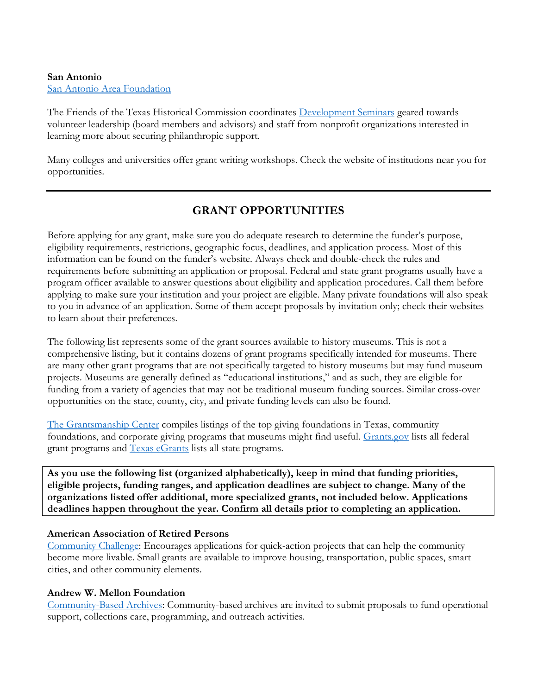### **San Antonio** [San Antonio Area Foundation](https://saafdn.org/nonprofits/)

The Friends of the Texas Historical Commission coordinates [Development Seminars](https://www.thcfriends.org/development-seminars) geared towards volunteer leadership (board members and advisors) and staff from nonprofit organizations interested in learning more about securing philanthropic support.

Many colleges and universities offer grant writing workshops. Check the website of institutions near you for opportunities.

# **GRANT OPPORTUNITIES**

Before applying for any grant, make sure you do adequate research to determine the funder's purpose, eligibility requirements, restrictions, geographic focus, deadlines, and application process. Most of this information can be found on the funder's website. Always check and double-check the rules and requirements before submitting an application or proposal. Federal and state grant programs usually have a program officer available to answer questions about eligibility and application procedures. Call them before applying to make sure your institution and your project are eligible. Many private foundations will also speak to you in advance of an application. Some of them accept proposals by invitation only; check their websites to learn about their preferences.

The following list represents some of the grant sources available to history museums. This is not a comprehensive listing, but it contains dozens of grant programs specifically intended for museums. There are many other grant programs that are not specifically targeted to history museums but may fund museum projects. Museums are generally defined as "educational institutions," and as such, they are eligible for funding from a variety of agencies that may not be traditional museum funding sources. Similar cross-over opportunities on the state, county, city, and private funding levels can also be found.

[The Grantsmanship Center](https://www.tgci.com/funding-sources/texas) compiles listings of the top giving foundations in Texas, community foundations, and corporate giving programs that museums might find useful. [Grants.gov](https://www.grants.gov/) lists all federal grant programs and [Texas eGrants](https://txapps.texas.gov/tolapp/egrants/search.htm) lists all state programs.

**As you use the following list (organized alphabetically), keep in mind that funding priorities, eligible projects, funding ranges, and application deadlines are subject to change. Many of the organizations listed offer additional, more specialized grants, not included below. Applications deadlines happen throughout the year. Confirm all details prior to completing an application.**

# **American Association of Retired Persons**

[Community Challenge:](https://www.aarp.org/livable-communities/community-challenge/) Encourages applications for quick-action projects that can help the community become more livable. Small grants are available to improve housing, transportation, public spaces, smart cities, and other community elements.

# **Andrew W. Mellon Foundation**

[Community-Based Archives:](https://mellon.org/programs/scholarly-communications/call-for-proposals-community-based-archives/) Community-based archives are invited to submit proposals to fund operational support, collections care, programming, and outreach activities.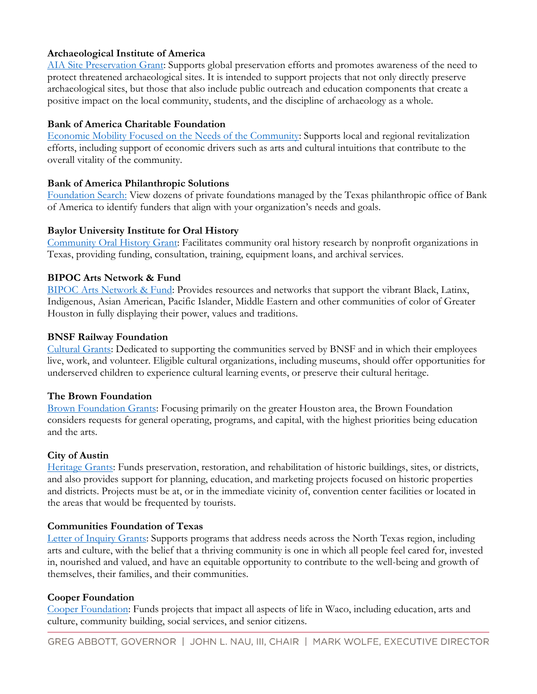# **Archaeological Institute of America**

[AIA Site Preservation Grant:](https://www.archaeological.org/grants/706) Supports global preservation efforts and promotes awareness of the need to protect threatened archaeological sites. It is intended to support projects that not only directly preserve archaeological sites, but those that also include public outreach and education components that create a positive impact on the local community, students, and the discipline of archaeology as a whole.

## **Bank of America Charitable Foundation**

[Economic Mobility Focused on the Needs of the Community:](https://about.bankofamerica.com/en-us/global-impact/charitable-foundation-funding.html#fbid=QBKbHvXQMQl/hashlink=communitydevelopment) Supports local and regional revitalization efforts, including support of economic drivers such as arts and cultural intuitions that contribute to the overall vitality of the community.

# **Bank of America Philanthropic Solutions**

[Foundation Search:](https://www.bankofamerica.com/philanthropic/search/?program=0&area=TX) View dozens of private foundations managed by the Texas philanthropic office of Bank of America to identify funders that align with your organization's needs and goals.

### **Baylor University Institute for Oral History**

[Community Oral History Grant:](https://www.baylor.edu/oralhistory/index.php?id=931744) Facilitates community oral history research by nonprofit organizations in Texas, providing funding, consultation, training, equipment loans, and archival services.

### **BIPOC Arts Network & Fund**

[BIPOC Arts Network & Fund:](https://houstonbanf.org/) Provides resources and networks that support the vibrant Black, Latinx, Indigenous, Asian American, Pacific Islander, Middle Eastern and other communities of color of Greater Houston in fully displaying their power, values and traditions.

### **BNSF Railway Foundation**

[Cultural Grants:](http://www.bnsffoundation.org/programs/) Dedicated to supporting the communities served by BNSF and in which their employees live, work, and volunteer. Eligible cultural organizations, including museums, should offer opportunities for underserved children to experience cultural learning events, or preserve their cultural heritage.

#### **The Brown Foundation**

[Brown Foundation Grants:](https://www.brownfoundation.org/grants/) Focusing primarily on the greater Houston area, the Brown Foundation considers requests for general operating, programs, and capital, with the highest priorities being education and the arts.

# **City of Austin**

[Heritage Grants:](http://www.austintexas.gov/department/heritage-grants) Funds preservation, restoration, and rehabilitation of historic buildings, sites, or districts, and also provides support for planning, education, and marketing projects focused on historic properties and districts. Projects must be at, or in the immediate vicinity of, convention center facilities or located in the areas that would be frequented by tourists.

# **Communities Foundation of Texas**

[Letter of Inquiry Grants:](https://www.cftexas.org/apply-for-a-grant) Supports programs that address needs across the North Texas region, including arts and culture, with the belief that a thriving community is one in which all people feel cared for, invested in, nourished and valued, and have an equitable opportunity to contribute to the well-being and growth of themselves, their families, and their communities.

#### **Cooper Foundation**

[Cooper Foundation:](https://cooperfdn.org/grants/) Funds projects that impact all aspects of life in Waco, including education, arts and culture, community building, social services, and senior citizens.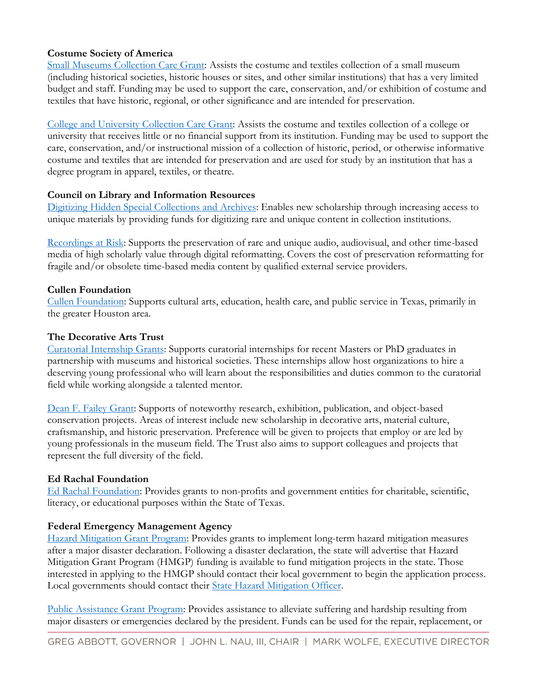# **Costume Society of America**

[Small Museums Collection Care Grant:](http://costumesocietyamerica.com/resources/grants-awards-and-honors/small-museum-collection-care-grant/) Assists the costume and textiles collection of a small museum (including historical societies, historic houses or sites, and other similar institutions) that has a very limited budget and staff. Funding may be used to support the care, conservation, and/or exhibition of costume and textiles that have historic, regional, or other significance and are intended for preservation.

[College and University Collection Care Grant:](http://costumesocietyamerica.com/resources/grants-awards-and-honors/csa-collection-grant/) Assists the costume and textiles collection of a college or university that receives little or no financial support from its institution. Funding may be used to support the care, conservation, and/or instructional mission of a collection of historic, period, or otherwise informative costume and textiles that are intended for preservation and are used for study by an institution that has a degree program in apparel, textiles, or theatre.

# **Council on Library and Information Resources**

[Digitizing Hidden Special Collections and Archives:](https://www.clir.org/hiddencollections/?fbclid=IwAR3QKeWQr4S9FmKFedt2Jv1Q18OeMdp0O3dcJdOX_j-Lazg5DvVHwhEGfmk) Enables new scholarship through increasing access to unique materials by providing funds for digitizing rare and unique content in collection institutions.

[Recordings at Risk:](https://www.clir.org/recordings-at-risk/) Supports the preservation of rare and unique audio, audiovisual, and other time-based media of high scholarly value through digital reformatting. Covers the cost of preservation reformatting for fragile and/or obsolete time-based media content by qualified external service providers.

# **Cullen Foundation**

[Cullen Foundation:](https://cullenfdn.org/) Supports cultural arts, education, health care, and public service in Texas, primarily in the greater Houston area.

# **The Decorative Arts Trust**

[Curatorial Internship Grants:](https://decorativeartstrust.org/emerging-scholars-programs-overview/curatorial-internship-grants/) Supports curatorial internships for recent Masters or PhD graduates in partnership with museums and historical societies. These internships allow host organizations to hire a deserving young professional who will learn about the responsibilities and duties common to the curatorial field while working alongside a talented mentor.

[Dean F. Failey Grant:](https://decorativeartstrust.org/failey-grant/) Supports of noteworthy research, exhibition, publication, and object-based conservation projects. Areas of interest include new scholarship in decorative arts, material culture, craftsmanship, and historic preservation. Preference will be given to projects that employ or are led by young professionals in the museum field. The Trust also aims to support colleagues and projects that represent the full diversity of the field.

# **Ed Rachal Foundation**

[Ed Rachal Foundation:](https://www.edrachal.org/grant-guidelines/) Provides grants to non-profits and government entities for charitable, scientific, literacy, or educational purposes within the State of Texas.

# **Federal Emergency Management Agency**

[Hazard Mitigation Grant Program:](https://www.fema.gov/hazard-mitigation-grant-program) Provides grants to implement long-term hazard mitigation measures after a major disaster declaration. Following a disaster declaration, the state will advertise that Hazard Mitigation Grant Program (HMGP) funding is available to fund mitigation projects in the state. Those interested in applying to the HMGP should contact their local government to begin the application process. Local governments should contact their [State Hazard Mitigation Officer.](https://www.fema.gov/state-hazard-mitigation-officers)

[Public Assistance Grant Program:](https://www.fema.gov/public-assistance-local-state-tribal-and-non-profit/) Provides assistance to alleviate suffering and hardship resulting from major disasters or emergencies declared by the president. Funds can be used for the repair, replacement, or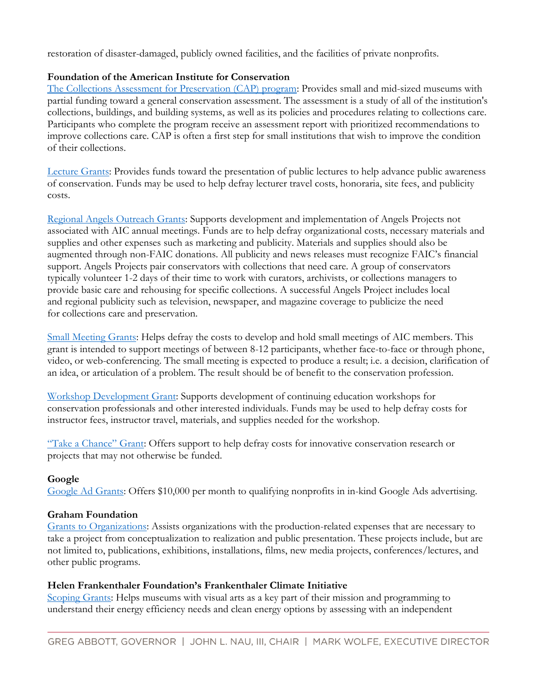restoration of disaster-damaged, publicly owned facilities, and the facilities of private nonprofits.

# **Foundation of the American Institute for Conservation**

[The Collections Assessment for Preservation \(CAP\) program:](http://www.conservation-us.org/grants/cap) Provides small and mid-sized museums with partial funding toward a general conservation assessment. The assessment is a study of all of the institution's collections, buildings, and building systems, as well as its policies and procedures relating to collections care. Participants who complete the program receive an assessment report with prioritized recommendations to improve collections care. CAP is often a first step for small institutions that wish to improve the condition of their collections.

[Lecture Grants:](http://www.conservation-us.org/grants/outreach/lecture-grants#.V-wTicnu4sQ) Provides funds toward the presentation of public lectures to help advance public awareness of conservation. Funds may be used to help defray lecturer travel costs, honoraria, site fees, and publicity costs.

Regional Angels [Outreach Grants:](http://www.conservation-us.org/grants/outreach/regional-angels-grants#.V-wT3cnu4sQ) Supports development and implementation of Angels Projects not associated with AIC annual meetings. Funds are to help defray organizational costs, necessary materials and supplies and other expenses such as marketing and publicity. Materials and supplies should also be augmented through non-FAIC donations. All publicity and news releases must recognize FAIC's financial support. Angels Projects pair conservators with collections that need care. A group of conservators typically volunteer 1-2 days of their time to work with curators, archivists, or collections managers to provide basic care and rehousing for specific collections. A successful Angels Project includes local and regional publicity such as television, newspaper, and magazine coverage to publicize the need for collections care and preservation.

[Small Meeting Grants:](http://www.conservation-us.org/grants/professional-development/small-meeting-grant#.V-vlgcnu4sQ) Helps defray the costs to develop and hold small meetings of AIC members. This grant is intended to support meetings of between 8-12 participants, whether face-to-face or through phone, video, or web-conferencing. The small meeting is expected to produce a result; i.e. a decision, clarification of an idea, or articulation of a problem. The result should be of benefit to the conservation profession.

[Workshop Development Grant:](http://www.conservation-us.org/grants/professional-development/workshop-development-grant#.V-vk4snu4sQ) Supports development of continuing education workshops for conservation professionals and other interested individuals. Funds may be used to help defray costs for instructor fees, instructor travel, materials, and supplies needed for the workshop.

["Take a Chance" Grant](http://www.conservation-us.org/grants/professional-development/-take-a-chance-grant#.WruzoJch2Uk): Offers support to help defray costs for innovative conservation research or projects that may not otherwise be funded.

# **Google**

[Google Ad Grants:](https://www.google.com/grants/) Offers \$10,000 per month to qualifying nonprofits in in-kind Google Ads advertising.

# **Graham Foundation**

[Grants to Organizations:](http://www.grahamfoundation.org/grant_programs?mode=organization) Assists organizations with the production-related expenses that are necessary to take a project from conceptualization to realization and public presentation. These projects include, but are not limited to, publications, exhibitions, installations, films, new media projects, conferences/lectures, and other public programs.

# **Helen Frankenthaler Foundation's Frankenthaler Climate Initiative**

[Scoping Grants:](http://frankenthalerclimateinitiative.org/apply/) Helps museums with visual arts as a key part of their mission and programming to understand their energy efficiency needs and clean energy options by assessing with an independent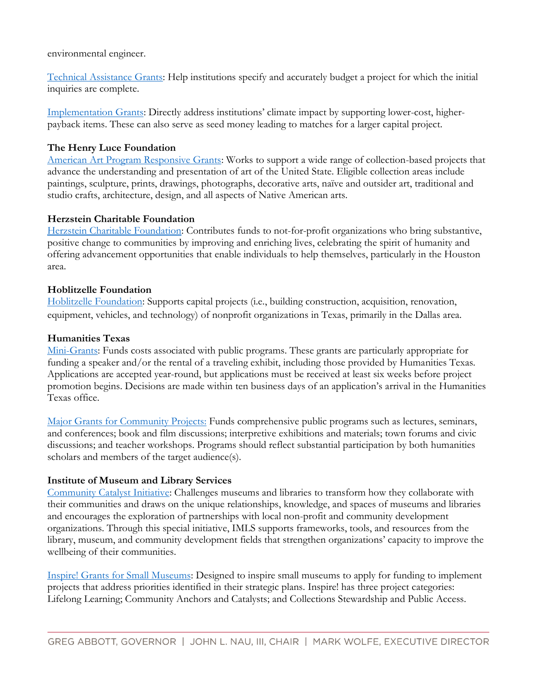## environmental engineer.

[Technical Assistance Grants:](http://frankenthalerclimateinitiative.org/apply/) Help institutions specify and accurately budget a project for which the initial inquiries are complete.

[Implementation Grants:](http://frankenthalerclimateinitiative.org/apply/) Directly address institutions' climate impact by supporting lower-cost, higherpayback items. These can also serve as seed money leading to matches for a larger capital project.

## **The Henry Luce Foundation**

[American Art Program Responsive Grants:](http://www.hluce.org/aaresponsgrant.aspx) Works to support a wide range of collection-based projects that advance the understanding and presentation of art of the United State. Eligible collection areas include paintings, sculpture, prints, drawings, photographs, decorative arts, naïve and outsider art, traditional and studio crafts, architecture, design, and all aspects of Native American arts.

### **Herzstein Charitable Foundation**

[Herzstein Charitable Foundation:](http://herzsteinfoundation.org/) Contributes funds to not-for-profit organizations who bring substantive, positive change to communities by improving and enriching lives, celebrating the spirit of humanity and offering advancement opportunities that enable individuals to help themselves, particularly in the Houston area.

### **Hoblitzelle Foundation**

[Hoblitzelle Foundation:](https://hoblitzelle.org/) Supports capital projects (i.e., building construction, acquisition, renovation, equipment, vehicles, and technology) of nonprofit organizations in Texas, primarily in the Dallas area.

### **Humanities Texas**

[Mini-Grants:](http://www.humanitiestexas.org/grants/apply) Funds costs associated with public programs. These grants are particularly appropriate for funding a speaker and/or the rental of a traveling exhibit, including those provided by Humanities Texas. Applications are accepted year-round, but applications must be received at least six weeks before project promotion begins. Decisions are made within ten business days of an application's arrival in the Humanities Texas office.

[Major Grants for Community Projects:](http://www.humanitiestexas.org/grants/apply) Funds comprehensive public programs such as lectures, seminars, and conferences; book and film discussions; interpretive exhibitions and materials; town forums and civic discussions; and teacher workshops. Programs should reflect substantial participation by both humanities scholars and members of the target audience(s).

# **Institute of Museum and Library Services**

[Community Catalyst Initiative:](https://www.imls.gov/grants/available/community-catalyst-initiative) Challenges museums and libraries to transform how they collaborate with their communities and draws on the unique relationships, knowledge, and spaces of museums and libraries and encourages the exploration of partnerships with local non-profit and community development organizations. Through this special initiative, IMLS supports frameworks, tools, and resources from the library, museum, and community development fields that strengthen organizations' capacity to improve the wellbeing of their communities.

[Inspire! Grants for Small Museums:](https://www.imls.gov/grants/available/inspire-grants-small-museums) Designed to inspire small museums to apply for funding to implement projects that address priorities identified in their strategic plans. Inspire! has three project categories: Lifelong Learning; Community Anchors and Catalysts; and Collections Stewardship and Public Access.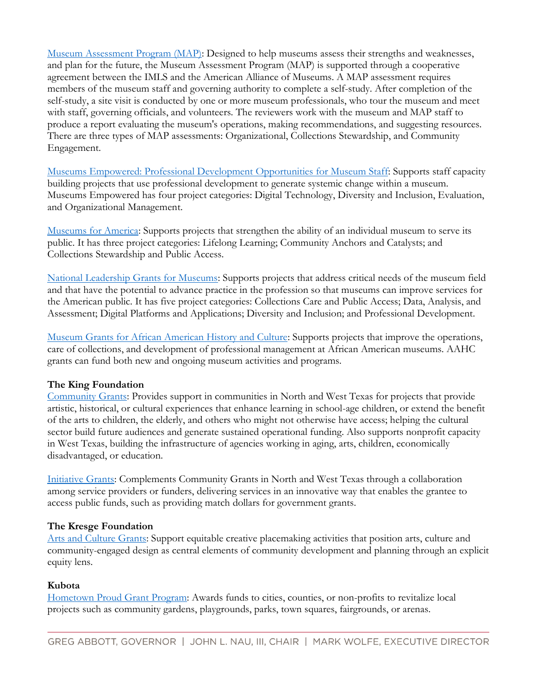[Museum Assessment Program \(MAP\):](https://www.imls.gov/grants/available/museum-assessment-program-map) Designed to help museums assess their strengths and weaknesses, and plan for the future, the Museum Assessment Program (MAP) is supported through a cooperative agreement between the IMLS and the American Alliance of Museums. A MAP assessment requires members of the museum staff and governing authority to complete a self-study. After completion of the self-study, a site visit is conducted by one or more museum professionals, who tour the museum and meet with staff, governing officials, and volunteers. The reviewers work with the museum and MAP staff to produce a report evaluating the museum's operations, making recommendations, and suggesting resources. There are three types of MAP assessments: Organizational, Collections Stewardship, and Community Engagement.

[Museums Empowered: Professional Development Opportunities for Museum Staff:](https://www.imls.gov/grants/available/museums-empowered-professional-development-opportunities-museum-staff) Supports staff capacity building projects that use professional development to generate systemic change within a museum. Museums Empowered has four project categories: Digital Technology, Diversity and Inclusion, Evaluation, and Organizational Management.

[Museums for America:](https://www.imls.gov/grants/available/museums-america) Supports projects that strengthen the ability of an individual museum to serve its public. It has three project categories: Lifelong Learning; Community Anchors and Catalysts; and Collections Stewardship and Public Access.

[National Leadership Grants for Museums:](https://www.imls.gov/grants/available/national-leadership-grants-museums) Supports projects that address critical needs of the museum field and that have the potential to advance practice in the profession so that museums can improve services for the American public. It has five project categories: Collections Care and Public Access; Data, Analysis, and Assessment; Digital Platforms and Applications; Diversity and Inclusion; and Professional Development.

[Museum Grants for African American History and Culture:](https://www.imls.gov/grants/available/museum-grants-african-american-history-and-culture) Supports projects that improve the operations, care of collections, and development of professional management at African American museums. AAHC grants can fund both new and ongoing museum activities and programs.

# **The King Foundation**

[Community Grants:](https://www.kingfoundation.com/community-grants) Provides support in communities in North and West Texas for projects that provide artistic, historical, or cultural experiences that enhance learning in school-age children, or extend the benefit of the arts to children, the elderly, and others who might not otherwise have access; helping the cultural sector build future audiences and generate sustained operational funding. Also supports nonprofit capacity in West Texas, building the infrastructure of agencies working in aging, arts, children, economically disadvantaged, or education.

[Initiative Grants:](https://www.kingfoundation.com/initiative-grants) Complements Community Grants in North and West Texas through a collaboration among service providers or funders, delivering services in an innovative way that enables the grantee to access public funds, such as providing match dollars for government grants.

#### **The Kresge Foundation**

[Arts and Culture Grants:](https://kresge.org/grants-social-investments/current-funding-opportunities/) Support equitable creative placemaking activities that position arts, culture and community-engaged design as central elements of community development and planning through an explicit equity lens.

# **Kubota**

[Hometown Proud Grant Program:](https://www.kubotausa.com/hometown-proud/application-2022?utm_source=delivra&utm_medium=email&utm_campaign=Communique%204-1-22&utm_id=42915750) Awards funds to cities, counties, or non-profits to revitalize local projects such as community gardens, playgrounds, parks, town squares, fairgrounds, or arenas.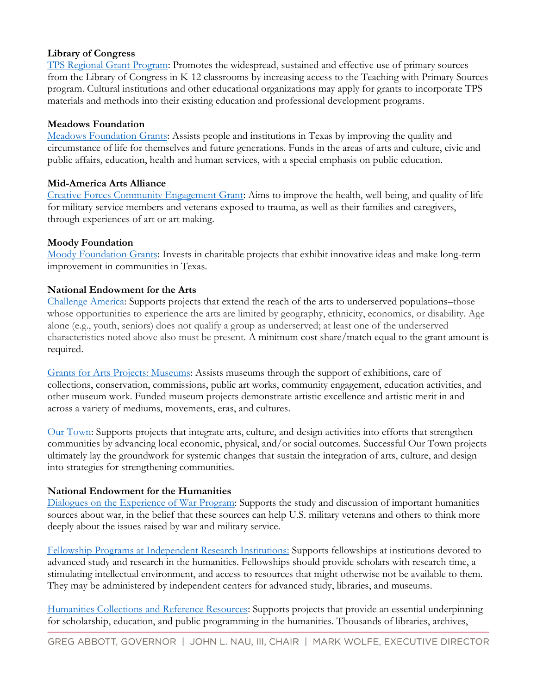# **Library of Congress**

[TPS Regional Grant Program:](https://www.loc.gov/programs/teachers/about-this-program/teaching-with-primary-sources-partner-program/tps-regional-grant-program/) Promotes the widespread, sustained and effective use of primary sources from the Library of Congress in K-12 classrooms by increasing access to the Teaching with Primary Sources program. Cultural institutions and other educational organizations may apply for grants to incorporate TPS materials and methods into their existing education and professional development programs.

# **Meadows Foundation**

[Meadows Foundation Grants:](https://www.mfi.org/how-to-apply/) Assists people and institutions in Texas by improving the quality and circumstance of life for themselves and future generations. Funds in the areas of arts and culture, civic and public affairs, education, health and human services, with a special emphasis on public education.

# **Mid-America Arts Alliance**

[Creative Forces Community Engagement Grant:](https://www.maaa.org/creativeforces/) Aims to improve the health, well-being, and quality of life for military service members and veterans exposed to trauma, as well as their families and caregivers, through experiences of art or art making.

# **Moody Foundation**

Moody [Foundation Grants:](https://moodyf.org/application-process/) Invests in charitable projects that exhibit innovative ideas and make long-term improvement in communities in Texas.

# **National Endowment for the Arts**

[Challenge America:](https://www.arts.gov/grants/challenge-america) Supports projects that extend the reach of the arts to underserved populations–those whose opportunities to experience the arts are limited by geography, ethnicity, economics, or disability. Age alone (e.g., youth, seniors) does not qualify a group as underserved; at least one of the underserved characteristics noted above also must be present. A minimum cost share/match equal to the grant amount is required.

[Grants for Arts Projects: Museums:](https://www.arts.gov/grants/grants-for-arts-projects/museums) Assists museums through the support of exhibitions, care of collections, conservation, commissions, public art works, community engagement, education activities, and other museum work. Funded museum projects demonstrate artistic excellence and artistic merit in and across a variety of mediums, movements, eras, and cultures.

[Our Town:](https://www.arts.gov/grants/our-town) Supports projects that integrate arts, culture, and design activities into efforts that strengthen communities by advancing local economic, physical, and/or social outcomes. Successful Our Town projects ultimately lay the groundwork for systemic changes that sustain the integration of arts, culture, and design into strategies for strengthening communities.

# **National Endowment for the Humanities**

[Dialogues on the Experience of War Program:](http://www.neh.gov/grants/education/dialogues-the-experience-war) Supports the study and discussion of important humanities sources about war, in the belief that these sources can help U.S. military veterans and others to think more deeply about the issues raised by war and military service.

[Fellowship Programs at Independent Research Institutions:](https://www.neh.gov/grants/research/fellowship-programs-independent-research-institutions) Supports fellowships at institutions devoted to advanced study and research in the humanities. Fellowships should provide scholars with research time, a stimulating intellectual environment, and access to resources that might otherwise not be available to them. They may be administered by independent centers for advanced study, libraries, and museums.

[Humanities Collections and Reference Resources:](https://www.neh.gov/grants/preservation/humanities-collections-and-reference-resources) Supports projects that provide an essential underpinning for scholarship, education, and public programming in the humanities. Thousands of libraries, archives,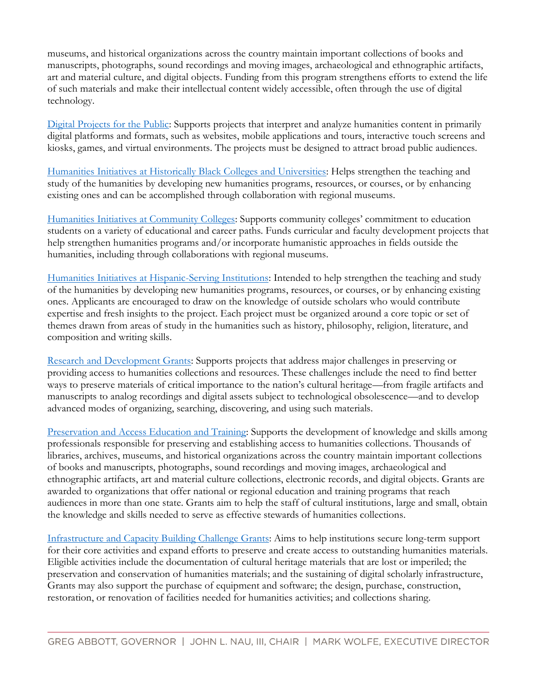museums, and historical organizations across the country maintain important collections of books and manuscripts, photographs, sound recordings and moving images, archaeological and ethnographic artifacts, art and material culture, and digital objects. Funding from this program strengthens efforts to extend the life of such materials and make their intellectual content widely accessible, often through the use of digital technology.

[Digital Projects for the Public:](https://www.neh.gov/grants/public/digital-projects-the-public) Supports projects that interpret and analyze humanities content in primarily digital platforms and formats, such as websites, mobile applications and tours, interactive touch screens and kiosks, games, and virtual environments. The projects must be designed to attract broad public audiences.

[Humanities Initiatives at Historically Black Colleges and Universities:](https://www.neh.gov/grants/education/humanities-initiatives-historically-black-colleges-and-universities) Helps strengthen the teaching and study of the humanities by developing new humanities programs, resources, or courses, or by enhancing existing ones and can be accomplished through collaboration with regional museums.

[Humanities Initiatives at Community Colleges](https://www.neh.gov/grants/education/humanities-initiatives-community-colleges): Supports community colleges' commitment to education students on a variety of educational and career paths. Funds curricular and faculty development projects that help strengthen humanities programs and/or incorporate humanistic approaches in fields outside the humanities, including through collaborations with regional museums.

[Humanities Initiatives at Hispanic-Serving Institutions:](https://www.neh.gov/grants/education/humanities-initiatives-hispanic-serving-institutions) Intended to help strengthen the teaching and study of the humanities by developing new humanities programs, resources, or courses, or by enhancing existing ones. Applicants are encouraged to draw on the knowledge of outside scholars who would contribute expertise and fresh insights to the project. Each project must be organized around a core topic or set of themes drawn from areas of study in the humanities such as history, philosophy, religion, literature, and composition and writing skills.

[Research and Development Grants:](https://www.neh.gov/grants/preservation/research-and-development) Supports projects that address major challenges in preserving or providing access to humanities collections and resources. These challenges include the need to find better ways to preserve materials of critical importance to the nation's cultural heritage—from fragile artifacts and manuscripts to analog recordings and digital assets subject to technological obsolescence—and to develop advanced modes of organizing, searching, discovering, and using such materials.

[Preservation and Access Education and Training:](https://www.neh.gov/grants/preservation/preservation-and-access-education-and-training) Supports the development of knowledge and skills among professionals responsible for preserving and establishing access to humanities collections. Thousands of libraries, archives, museums, and historical organizations across the country maintain important collections of books and manuscripts, photographs, sound recordings and moving images, archaeological and ethnographic artifacts, art and material culture collections, electronic records, and digital objects. Grants are awarded to organizations that offer national or regional education and training programs that reach audiences in more than one state. Grants aim to help the staff of cultural institutions, large and small, obtain the knowledge and skills needed to serve as effective stewards of humanities collections.

[Infrastructure and Capacity Building Challenge Grants:](https://www.neh.gov/grants/preservation/infrastructure-and-capacity-building-challenge-grants) Aims to help institutions secure long-term support for their core activities and expand efforts to preserve and create access to outstanding humanities materials. Eligible activities include the documentation of cultural heritage materials that are lost or imperiled; the preservation and conservation of humanities materials; and the sustaining of digital scholarly infrastructure, Grants may also support the purchase of equipment and software; the design, purchase, construction, restoration, or renovation of facilities needed for humanities activities; and collections sharing.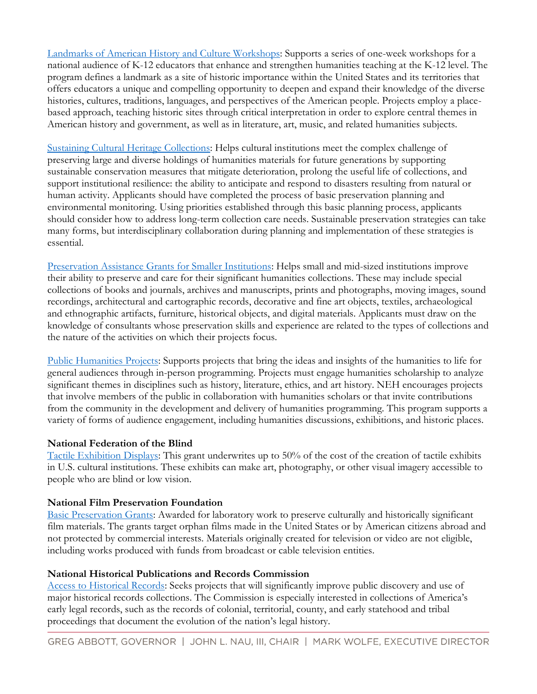[Landmarks of American History and Culture Workshops:](https://www.neh.gov/grants/education/landmarks-american-history-and-culture-workshops-school-teachers) Supports a series of one-week workshops for a national audience of K-12 educators that enhance and strengthen humanities teaching at the K-12 level. The program defines a landmark as a site of historic importance within the United States and its territories that offers educators a unique and compelling opportunity to deepen and expand their knowledge of the diverse histories, cultures, traditions, languages, and perspectives of the American people. Projects employ a placebased approach, teaching historic sites through critical interpretation in order to explore central themes in American history and government, as well as in literature, art, music, and related humanities subjects.

[Sustaining Cultural Heritage Collections:](https://www.neh.gov/grants/preservation/sustaining-cultural-heritage-collections) Helps cultural institutions meet the complex challenge of preserving large and diverse holdings of humanities materials for future generations by supporting sustainable conservation measures that mitigate deterioration, prolong the useful life of collections, and support institutional resilience: the ability to anticipate and respond to disasters resulting from natural or human activity. Applicants should have completed the process of basic preservation planning and environmental monitoring. Using priorities established through this basic planning process, applicants should consider how to address long-term collection care needs. Sustainable preservation strategies can take many forms, but interdisciplinary collaboration during planning and implementation of these strategies is essential.

[Preservation Assistance Grants for Smaller Institutions:](https://www.neh.gov/grants/preservation/preservation-assistance-grants-smaller-institutions) Helps small and mid-sized institutions improve their ability to preserve and care for their significant humanities collections. These may include special collections of books and journals, archives and manuscripts, prints and photographs, moving images, sound recordings, architectural and cartographic records, decorative and fine art objects, textiles, archaeological and ethnographic artifacts, furniture, historical objects, and digital materials. Applicants must draw on the knowledge of consultants whose preservation skills and experience are related to the types of collections and the nature of the activities on which their projects focus.

[Public Humanities Projects:](https://www.neh.gov/grants/public/public-humanities-projects) Supports projects that bring the ideas and insights of the humanities to life for general audiences through in-person programming. Projects must engage humanities scholarship to analyze significant themes in disciplines such as history, literature, ethics, and art history. NEH encourages projects that involve members of the public in collaboration with humanities scholars or that invite contributions from the community in the development and delivery of humanities programming. This program supports a variety of forms of audience engagement, including humanities discussions, exhibitions, and historic places.

# **National Federation of the Blind**

[Tactile Exhibition Displays:](https://documentcloud.adobe.com/link/track?uri=urn:aaid:scds:US:a86d27ea-a5d9-430e-8b76-4b56344a56d0) This grant underwrites up to 50% of the cost of the creation of tactile exhibits in U.S. cultural institutions. These exhibits can make art, photography, or other visual imagery accessible to people who are blind or low vision.

#### **National Film Preservation Foundation**

[Basic Preservation Grants:](http://www.filmpreservation.org/nfpf-grants/basic-preservation-grants) Awarded for laboratory work to preserve culturally and historically significant film materials. The grants target orphan films made in the United States or by American citizens abroad and not protected by commercial interests. Materials originally created for television or video are not eligible, including works produced with funds from broadcast or cable television entities.

### **National Historical Publications and Records Commission**

[Access to Historical Records:](https://www.archives.gov/nhprc/announcement/preliminary-proposal/prelim.html) Seeks projects that will significantly improve public discovery and use of major historical records collections. The Commission is especially interested in collections of America's early legal records, such as the records of colonial, territorial, county, and early statehood and tribal proceedings that document the evolution of the nation's legal history.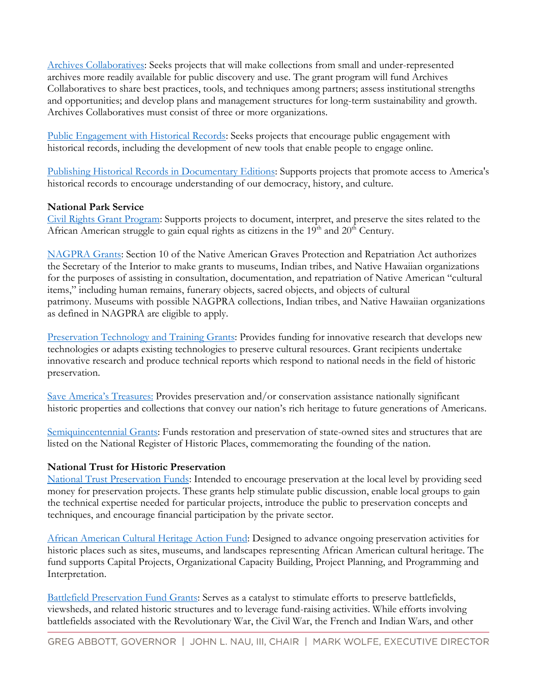[Archives Collaboratives:](https://www.archives.gov/nhprc/announcement/collaboratives) Seeks projects that will make collections from small and under-represented archives more readily available for public discovery and use. The grant program will fund Archives Collaboratives to share best practices, tools, and techniques among partners; assess institutional strengths and opportunities; and develop plans and management structures for long-term sustainability and growth. Archives Collaboratives must consist of three or more organizations.

[Public Engagement with Historical Records:](http://www.archives.gov/nhprc/announcement/engagement.html) Seeks projects that encourage public engagement with historical records, including the development of new tools that enable people to engage online.

[Publishing Historical Records in Documentary Editions:](https://www.archives.gov/nhprc/announcement/editions.html) Supports projects that promote access to America's historical records to encourage understanding of our democracy, history, and culture.

# **National Park Service**

[Civil Rights Grant Program:](https://www.nps.gov/subjects/civilrights/grants.htm) Supports projects to document, interpret, and preserve the sites related to the African American struggle to gain equal rights as citizens in the  $19<sup>th</sup>$  and  $20<sup>th</sup>$  Century.

[NAGPRA Grants:](https://www.nps.gov/subjects/nagpra/grants.htm) Section 10 of the Native American Graves Protection and Repatriation Act authorizes the Secretary of the Interior to make grants to museums, Indian tribes, and Native Hawaiian organizations for the purposes of assisting in consultation, documentation, and repatriation of Native American "cultural items," including human remains, funerary objects, sacred objects, and objects of cultural patrimony. Museums with possible NAGPRA collections, Indian tribes, and Native Hawaiian organizations as defined in NAGPRA are eligible to apply.

[Preservation Technology and Training Grants:](https://www.nps.gov/subjects/ncptt/preservation-technology-and-training-grants.htm) Provides funding for innovative research that develops new technologies or adapts existing technologies to preserve cultural resources. Grant recipients undertake innovative research and produce technical reports which respond to national needs in the field of historic preservation.

[Save America's Treasures](https://www.nps.gov/subjects/historicpreservationfund/save-americas-treasures-grants.htm): Provides preservation and/or conservation assistance nationally significant historic properties and collections that convey our nation's rich heritage to future generations of Americans.

[Semiquincentennial Grants:](https://www.nps.gov/subjects/historicpreservationfund/semiquincentennial.htm?fbclid=IwAR17AZ6OaMWdu0sp6erkc1yrLNph-nTQ0DFXcFiyjNqO2GP9hg-S7ZqkCWE) Funds restoration and preservation of state-owned sites and structures that are listed on the National Register of Historic Places, commemorating the founding of the nation.

# **National Trust for Historic Preservation**

[National Trust Preservation Funds:](http://forum.savingplaces.org/build/find-funding/grant-seekers/preservation-funds) Intended to encourage preservation at the local level by providing seed money for preservation projects. These grants help stimulate public discussion, enable local groups to gain the technical expertise needed for particular projects, introduce the public to preservation concepts and techniques, and encourage financial participation by the private sector.

[African American Cultural Heritage Action Fund:](http://forum.savingplaces.org/build/funding/grant-seekers/specialprograms/aachactionfund) Designed to advance ongoing preservation activities for historic places such as sites, museums, and landscapes representing African American cultural heritage. The fund supports Capital Projects, Organizational Capacity Building, Project Planning, and Programming and Interpretation.

[Battlefield Preservation Fund Grants:](http://forum.savingplaces.org/build/find-funding/grant-seekers/specialprograms#battlefield) Serves as a catalyst to stimulate efforts to preserve battlefields, viewsheds, and related historic structures and to leverage fund-raising activities. While efforts involving battlefields associated with the Revolutionary War, the Civil War, the French and Indian Wars, and other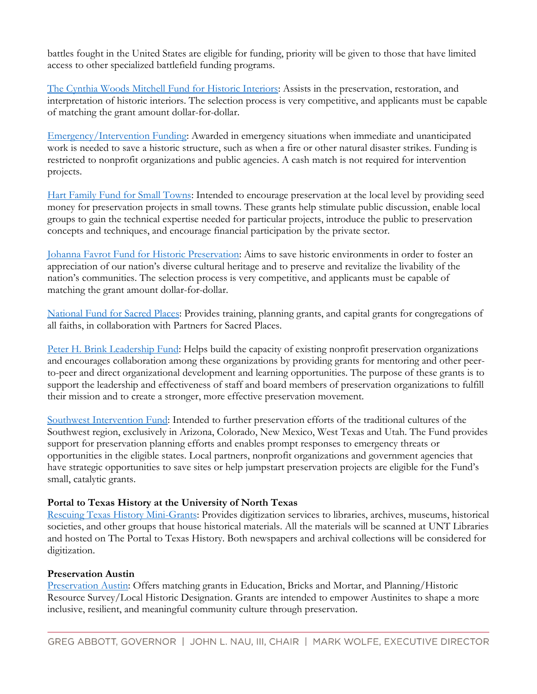battles fought in the United States are eligible for funding, priority will be given to those that have limited access to other specialized battlefield funding programs.

[The Cynthia Woods Mitchell Fund for Historic Interiors:](http://forum.savingplaces.org/build/funding/grant-seekers/specialprograms/cynthia-woods-mitchell-fund) Assists in the preservation, restoration, and interpretation of historic interiors. The selection process is very competitive, and applicants must be capable of matching the grant amount dollar-for-dollar.

[Emergency/Intervention Funding:](http://forum.savingplaces.org/blogs/forum-online/2014/08/29/emergencyintervention-funding-a-tale-of-fire-and-rejuvenation) Awarded in emergency situations when immediate and unanticipated work is needed to save a historic structure, such as when a fire or other natural disaster strikes. Funding is restricted to nonprofit organizations and public agencies. A cash match is not required for intervention projects.

[Hart Family Fund for Small Towns:](http://forum.savingplaces.org/build/funding/grant-seekers/specialprograms/hart-family-fund) Intended to encourage preservation at the local level by providing seed money for preservation projects in small towns. These grants help stimulate public discussion, enable local groups to gain the technical expertise needed for particular projects, introduce the public to preservation concepts and techniques, and encourage financial participation by the private sector.

[Johanna Favrot Fund for Historic Preservation:](http://forum.savingplaces.org/build/find-funding/grant-seekers/specialprograms/favrot-fund) Aims to save historic environments in order to foster an appreciation of our nation's diverse cultural heritage and to preserve and revitalize the livability of the nation's communities. The selection process is very competitive, and applicants must be capable of matching the grant amount dollar-for-dollar.

[National Fund for Sacred Places:](https://www.fundforsacredplaces.org/) Provides training, planning grants, and capital grants for congregations of all faiths, in collaboration with Partners for Sacred Places.

[Peter H. Brink Leadership Fund:](http://forum.savingplaces.org/build/find-funding/grant-seekers/specialprograms/brink-fund) Helps build the capacity of existing nonprofit preservation organizations and encourages collaboration among these organizations by providing grants for mentoring and other peerto-peer and direct organizational development and learning opportunities. The purpose of these grants is to support the leadership and effectiveness of staff and board members of preservation organizations to fulfill their mission and to create a stronger, more effective preservation movement.

[Southwest Intervention Fund:](http://forum.savingplaces.org/build/find-funding/grant-seekers/specialprograms/southwest-fund) Intended to further preservation efforts of the traditional cultures of the Southwest region, exclusively in Arizona, Colorado, New Mexico, West Texas and Utah. The Fund provides support for preservation planning efforts and enables prompt responses to emergency threats or opportunities in the eligible states. Local partners, nonprofit organizations and government agencies that have strategic opportunities to save sites or help jumpstart preservation projects are eligible for the Fund's small, catalytic grants.

# **Portal to Texas History at the University of North Texas**

[Rescuing Texas History Mini-Grants:](http://www.library.unt.edu/digital-projects-lab/call-submissions-portal-texas-history) Provides digitization services to libraries, archives, museums, historical societies, and other groups that house historical materials. All the materials will be scanned at UNT Libraries and hosted on The Portal to Texas History. Both newspapers and archival collections will be considered for digitization.

# **Preservation Austin**

[Preservation Austin:](https://www.preservationaustin.org/grants?fbclid=IwAR0ChzbkzhGttSH9pDsmbt44Svkkq6DiYSgv7fYqswtdQFVw9D9g8C_WUoU) Offers matching grants in Education, Bricks and Mortar, and Planning/Historic Resource Survey/Local Historic Designation. Grants are intended to empower Austinites to shape a more inclusive, resilient, and meaningful community culture through preservation.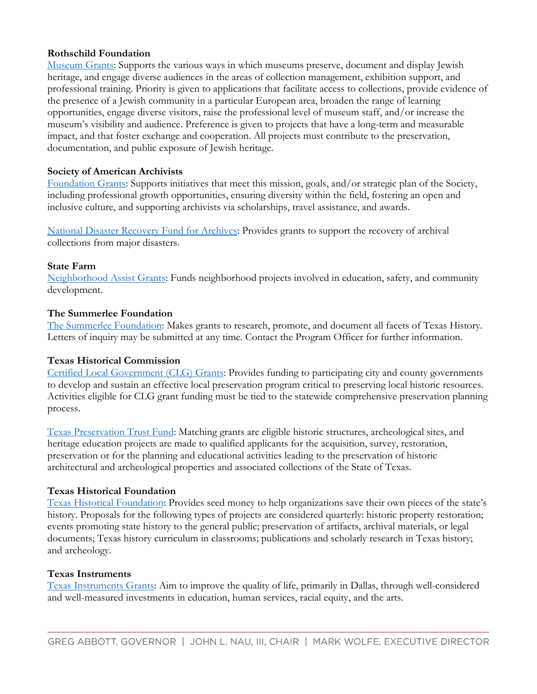# **Rothschild Foundation**

[Museum Grants:](https://rothschildfoundation.eu/what-we-fund/museums/) Supports the various ways in which museums preserve, document and display Jewish heritage, and engage diverse audiences in the areas of collection management, exhibition support, and professional training. Priority is given to applications that facilitate access to collections, provide evidence of the presence of a Jewish community in a particular European area, broaden the range of learning opportunities, engage diverse visitors, raise the professional level of museum staff, and/or increase the museum's visibility and audience. Preference is given to projects that have a long-term and measurable impact, and that foster exchange and cooperation. All projects must contribute to the preservation, documentation, and public exposure of Jewish heritage.

# **Society of American Archivists**

[Foundation Grants:](https://www2.archivists.org/groups/saa-foundation-board-of-directors/society-of-american-archivists-foundation-grant-application) Supports initiatives that meet this mission, goals, and/or strategic plan of the Society, including professional growth opportunities, ensuring diversity within the field, fostering an open and inclusive culture, and supporting archivists via scholarships, travel assistance, and awards.

[National Disaster Recovery Fund for Archives:](https://www2.archivists.org/groups/saa-foundation-board-of-directors/national-disaster-recovery-fund-for-archives) Provides grants to support the recovery of archival collections from major disasters.

### **State Farm**

[Neighborhood Assist Grants:](https://www.neighborhoodassist.com/landingpages/show/neighborhoodassist2019) Funds neighborhood projects involved in education, safety, and community development.

# **The Summerlee Foundation**

[The Summerlee Foundation:](https://summerlee.org/texas-history-program-overview/) Makes grants to research, promote, and document all facets of Texas History. Letters of inquiry may be submitted at any time. Contact the Program Officer for further information.

# **Texas Historical Commission**

[Certified Local Government \(CLG\) Grants:](http://www.thc.texas.gov/preserve/projects-and-programs/certified-local-government/grant-information) Provides funding to participating city and county governments to develop and sustain an effective local preservation program critical to preserving local historic resources. Activities eligible for CLG grant funding must be tied to the statewide comprehensive preservation planning process.

[Texas Preservation Trust Fund:](http://www.thc.texas.gov/preserve/projects-and-programs/texas-preservation-trust-fund) Matching grants are eligible historic structures, archeological sites, and heritage education projects are made to qualified applicants for the acquisition, survey, restoration, preservation or for the planning and educational activities leading to the preservation of historic architectural and archeological properties and associated collections of the State of Texas.

# **Texas Historical Foundation**

[Texas Historical Foundation:](https://texashistoricalfoundation.org/what-we-do/grants/) Provides seed money to help organizations save their own pieces of the state's history. Proposals for the following types of projects are considered quarterly: historic property restoration; events promoting state history to the general public; preservation of artifacts, archival materials, or legal documents; Texas history curriculum in classrooms; publications and scholarly research in Texas history; and archeology.

#### **Texas Instruments**

[Texas Instruments Grants:](https://www.ti.com/about-ti/citizenship-community/giving.html) Aim to improve the quality of life, primarily in Dallas, through well-considered and well-measured investments in education, human services, racial equity, and the arts.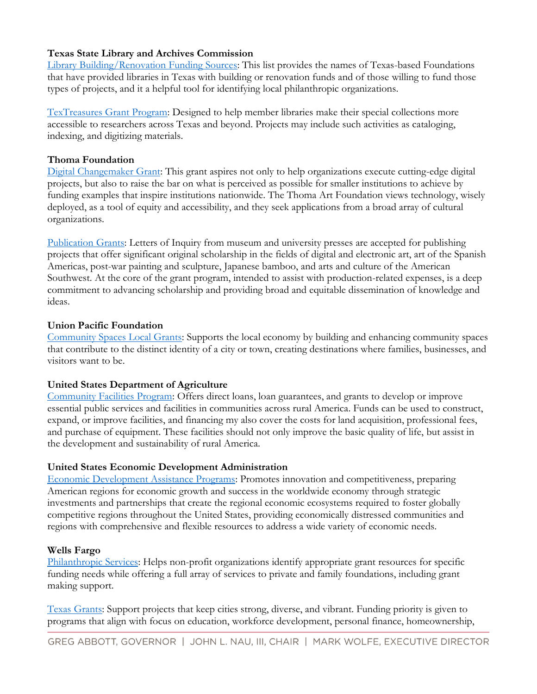# **Texas State Library and Archives Commission**

[Library Building/Renovation Funding Sources:](https://www.tsl.texas.gov/ld/funding/building/index.html) This list provides the names of Texas-based Foundations that have provided libraries in Texas with building or renovation funds and of those willing to fund those types of projects, and it a helpful tool for identifying local philanthropic organizations.

[TexTreasures Grant Program:](https://www.tsl.texas.gov/ldn/grants/programs) Designed to help member libraries make their special collections more accessible to researchers across Texas and beyond. Projects may include such activities as cataloging, indexing, and digitizing materials.

## **Thoma Foundation**

[Digital Changemaker Grant:](https://grants.thomafoundation.org/grants-for-nonprofit-organizations/digital-changemaker/) This grant aspires not only to help organizations execute cutting-edge digital projects, but also to raise the bar on what is perceived as possible for smaller institutions to achieve by funding examples that inspire institutions nationwide. The Thoma Art Foundation views technology, wisely deployed, as a tool of equity and accessibility, and they seek applications from a broad array of cultural organizations.

[Publication Grants:](https://grants.thomafoundation.org/grants-for-nonprofit-organizations/publications/) Letters of Inquiry from museum and university presses are accepted for publishing projects that offer significant original scholarship in the fields of digital and electronic art, art of the Spanish Americas, post-war painting and sculpture, Japanese bamboo, and arts and culture of the American Southwest. At the core of the grant program, intended to assist with production-related expenses, is a deep commitment to advancing scholarship and providing broad and equitable dissemination of knowledge and ideas.

# **Union Pacific Foundation**

[Community Spaces Local Grants:](https://www.up.com/aboutup/community/foundation/local-grants/index.htm) Supports the local economy by building and enhancing community spaces that contribute to the distinct identity of a city or town, creating destinations where families, businesses, and visitors want to be.

# **United States Department of Agriculture**

[Community Facilities Program:](https://www.rd.usda.gov/programs-services/all-programs/community-facilities-programs) Offers direct loans, loan guarantees, and grants to develop or improve essential public services and facilities in communities across rural America. Funds can be used to construct, expand, or improve facilities, and financing my also cover the costs for land acquisition, professional fees, and purchase of equipment. These facilities should not only improve the basic quality of life, but assist in the development and sustainability of rural America.

# **United States Economic Development Administration**

[Economic Development Assistance Programs:](https://www.eda.gov/funding-opportunities/) Promotes innovation and competitiveness, preparing American regions for economic growth and success in the worldwide economy through strategic investments and partnerships that create the regional economic ecosystems required to foster globally competitive regions throughout the United States, providing economically distressed communities and regions with comprehensive and flexible resources to address a wide variety of economic needs.

#### **Wells Fargo**

[Philanthropic Services:](https://www.wellsfargo.com/private-foundations/search-results#searchtab) Helps non-profit organizations identify appropriate grant resources for specific funding needs while offering a full array of services to private and family foundations, including grant making support.

[Texas Grants:](https://www.wellsfargo.com/about/corporate-responsibility/community-giving/local/) Support projects that keep cities strong, diverse, and vibrant. Funding priority is given to programs that align with focus on education, workforce development, personal finance, homeownership,